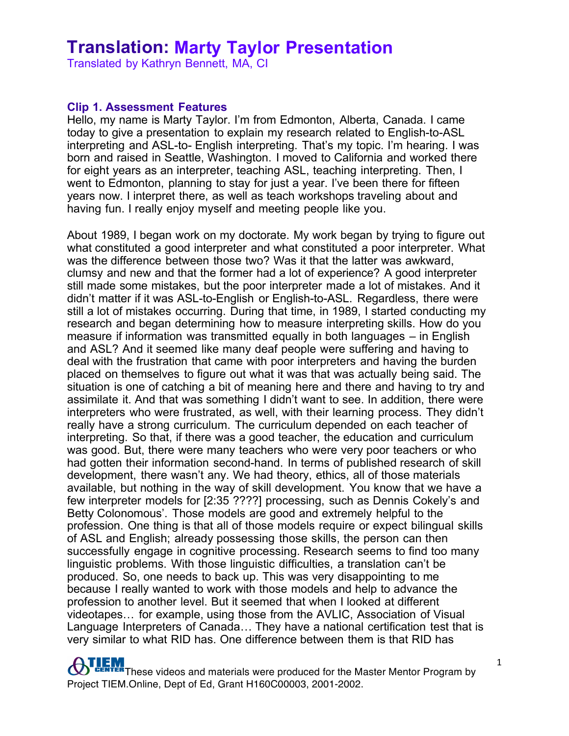Translated by Kathryn Bennett, MA, CI

#### **Clip 1. Assessment Features**

Hello, my name is Marty Taylor. I'm from Edmonton, Alberta, Canada. I came today to give a presentation to explain my research related to English-to-ASL interpreting and ASL-to- English interpreting. That's my topic. I'm hearing. I was born and raised in Seattle, Washington. I moved to California and worked there for eight years as an interpreter, teaching ASL, teaching interpreting. Then, I went to Edmonton, planning to stay for just a year. I've been there for fifteen years now. I interpret there, as well as teach workshops traveling about and having fun. I really enjoy myself and meeting people like you.

About 1989, I began work on my doctorate. My work began by trying to figure out what constituted a good interpreter and what constituted a poor interpreter. What was the difference between those two? Was it that the latter was awkward, clumsy and new and that the former had a lot of experience? A good interpreter still made some mistakes, but the poor interpreter made a lot of mistakes. And it didn't matter if it was ASL-to-English or English-to-ASL. Regardless, there were still a lot of mistakes occurring. During that time, in 1989, I started conducting my research and began determining how to measure interpreting skills. How do you measure if information was transmitted equally in both languages – in English and ASL? And it seemed like many deaf people were suffering and having to deal with the frustration that came with poor interpreters and having the burden placed on themselves to figure out what it was that was actually being said. The situation is one of catching a bit of meaning here and there and having to try and assimilate it. And that was something I didn't want to see. In addition, there were interpreters who were frustrated, as well, with their learning process. They didn't really have a strong curriculum. The curriculum depended on each teacher of interpreting. So that, if there was a good teacher, the education and curriculum was good. But, there were many teachers who were very poor teachers or who had gotten their information second-hand. In terms of published research of skill development, there wasn't any. We had theory, ethics, all of those materials available, but nothing in the way of skill development. You know that we have a few interpreter models for [2:35 ????] processing, such as Dennis Cokely's and Betty Colonomous'. Those models are good and extremely helpful to the profession. One thing is that all of those models require or expect bilingual skills of ASL and English; already possessing those skills, the person can then successfully engage in cognitive processing. Research seems to find too many linguistic problems. With those linguistic difficulties, a translation can't be produced. So, one needs to back up. This was very disappointing to me because I really wanted to work with those models and help to advance the profession to another level. But it seemed that when I looked at different videotapes… for example, using those from the AVLIC, Association of Visual Language Interpreters of Canada… They have a national certification test that is very similar to what RID has. One difference between them is that RID has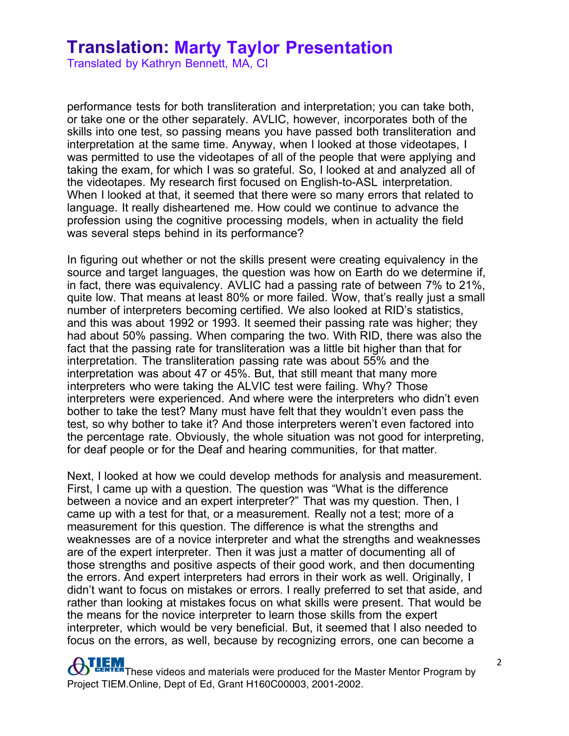Translated by Kathryn Bennett, MA, CI

performance tests for both transliteration and interpretation; you can take both, or take one or the other separately. AVLIC, however, incorporates both of the skills into one test, so passing means you have passed both transliteration and interpretation at the same time. Anyway, when I looked at those videotapes, I was permitted to use the videotapes of all of the people that were applying and taking the exam, for which I was so grateful. So, I looked at and analyzed all of the videotapes. My research first focused on English-to-ASL interpretation. When I looked at that, it seemed that there were so many errors that related to language. It really disheartened me. How could we continue to advance the profession using the cognitive processing models, when in actuality the field was several steps behind in its performance?

In figuring out whether or not the skills present were creating equivalency in the source and target languages, the question was how on Earth do we determine if, in fact, there was equivalency. AVLIC had a passing rate of between 7% to 21%, quite low. That means at least 80% or more failed. Wow, that's really just a small number of interpreters becoming certified. We also looked at RID's statistics, and this was about 1992 or 1993. It seemed their passing rate was higher; they had about 50% passing. When comparing the two. With RID, there was also the fact that the passing rate for transliteration was a little bit higher than that for interpretation. The transliteration passing rate was about 55% and the interpretation was about 47 or 45%. But, that still meant that many more interpreters who were taking the ALVIC test were failing. Why? Those interpreters were experienced. And where were the interpreters who didn't even bother to take the test? Many must have felt that they wouldn't even pass the test, so why bother to take it? And those interpreters weren't even factored into the percentage rate. Obviously, the whole situation was not good for interpreting, for deaf people or for the Deaf and hearing communities, for that matter.

Next, I looked at how we could develop methods for analysis and measurement. First, I came up with a question. The question was "What is the difference between a novice and an expert interpreter?" That was my question. Then, I came up with a test for that, or a measurement. Really not a test; more of a measurement for this question. The difference is what the strengths and weaknesses are of a novice interpreter and what the strengths and weaknesses are of the expert interpreter. Then it was just a matter of documenting all of those strengths and positive aspects of their good work, and then documenting the errors. And expert interpreters had errors in their work as well. Originally, I didn't want to focus on mistakes or errors. I really preferred to set that aside, and rather than looking at mistakes focus on what skills were present. That would be the means for the novice interpreter to learn those skills from the expert interpreter, which would be very beneficial. But, it seemed that I also needed to focus on the errors, as well, because by recognizing errors, one can become a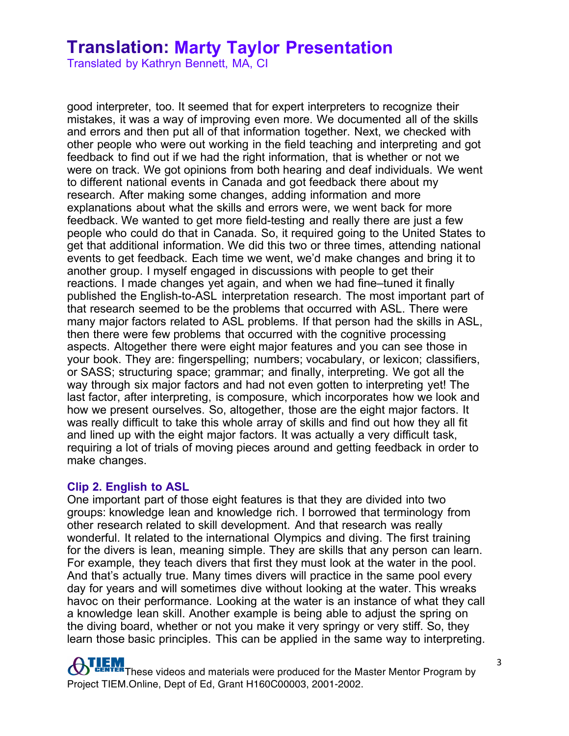Translated by Kathryn Bennett, MA, CI

good interpreter, too. It seemed that for expert interpreters to recognize their mistakes, it was a way of improving even more. We documented all of the skills and errors and then put all of that information together. Next, we checked with other people who were out working in the field teaching and interpreting and got feedback to find out if we had the right information, that is whether or not we were on track. We got opinions from both hearing and deaf individuals. We went to different national events in Canada and got feedback there about my research. After making some changes, adding information and more explanations about what the skills and errors were, we went back for more feedback. We wanted to get more field-testing and really there are just a few people who could do that in Canada. So, it required going to the United States to get that additional information. We did this two or three times, attending national events to get feedback. Each time we went, we'd make changes and bring it to another group. I myself engaged in discussions with people to get their reactions. I made changes yet again, and when we had fine–tuned it finally published the English-to-ASL interpretation research. The most important part of that research seemed to be the problems that occurred with ASL. There were many major factors related to ASL problems. If that person had the skills in ASL, then there were few problems that occurred with the cognitive processing aspects. Altogether there were eight major features and you can see those in your book. They are: fingerspelling; numbers; vocabulary, or lexicon; classifiers, or SASS; structuring space; grammar; and finally, interpreting. We got all the way through six major factors and had not even gotten to interpreting yet! The last factor, after interpreting, is composure, which incorporates how we look and how we present ourselves. So, altogether, those are the eight major factors. It was really difficult to take this whole array of skills and find out how they all fit and lined up with the eight major factors. It was actually a very difficult task, requiring a lot of trials of moving pieces around and getting feedback in order to make changes.

#### **Clip 2. English to ASL**

One important part of those eight features is that they are divided into two groups: knowledge lean and knowledge rich. I borrowed that terminology from other research related to skill development. And that research was really wonderful. It related to the international Olympics and diving. The first training for the divers is lean, meaning simple. They are skills that any person can learn. For example, they teach divers that first they must look at the water in the pool. And that's actually true. Many times divers will practice in the same pool every day for years and will sometimes dive without looking at the water. This wreaks havoc on their performance. Looking at the water is an instance of what they call a knowledge lean skill. Another example is being able to adjust the spring on the diving board, whether or not you make it very springy or very stiff. So, they learn those basic principles. This can be applied in the same way to interpreting.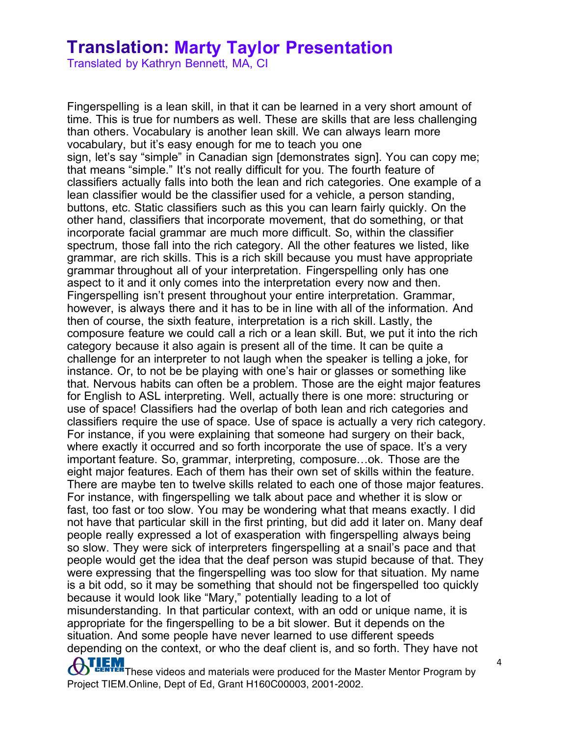Translated by Kathryn Bennett, MA, CI

**THEM**<br>These videos and materials were produced for the Master Mentor Program by Fingerspelling is a lean skill, in that it can be learned in a very short amount of time. This is true for numbers as well. These are skills that are less challenging than others. Vocabulary is another lean skill. We can always learn more vocabulary, but it's easy enough for me to teach you one sign, let's say "simple" in Canadian sign [demonstrates sign]. You can copy me; that means "simple." It's not really difficult for you. The fourth feature of classifiers actually falls into both the lean and rich categories. One example of a lean classifier would be the classifier used for a vehicle, a person standing, buttons, etc. Static classifiers such as this you can learn fairly quickly. On the other hand, classifiers that incorporate movement, that do something, or that incorporate facial grammar are much more difficult. So, within the classifier spectrum, those fall into the rich category. All the other features we listed, like grammar, are rich skills. This is a rich skill because you must have appropriate grammar throughout all of your interpretation. Fingerspelling only has one aspect to it and it only comes into the interpretation every now and then. Fingerspelling isn't present throughout your entire interpretation. Grammar, however, is always there and it has to be in line with all of the information. And then of course, the sixth feature, interpretation is a rich skill. Lastly, the composure feature we could call a rich or a lean skill. But, we put it into the rich category because it also again is present all of the time. It can be quite a challenge for an interpreter to not laugh when the speaker is telling a joke, for instance. Or, to not be be playing with one's hair or glasses or something like that. Nervous habits can often be a problem. Those are the eight major features for English to ASL interpreting. Well, actually there is one more: structuring or use of space! Classifiers had the overlap of both lean and rich categories and classifiers require the use of space. Use of space is actually a very rich category. For instance, if you were explaining that someone had surgery on their back, where exactly it occurred and so forth incorporate the use of space. It's a very important feature. So, grammar, interpreting, composure…ok. Those are the eight major features. Each of them has their own set of skills within the feature. There are maybe ten to twelve skills related to each one of those major features. For instance, with fingerspelling we talk about pace and whether it is slow or fast, too fast or too slow. You may be wondering what that means exactly. I did not have that particular skill in the first printing, but did add it later on. Many deaf people really expressed a lot of exasperation with fingerspelling always being so slow. They were sick of interpreters fingerspelling at a snail's pace and that people would get the idea that the deaf person was stupid because of that. They were expressing that the fingerspelling was too slow for that situation. My name is a bit odd, so it may be something that should not be fingerspelled too quickly because it would look like "Mary," potentially leading to a lot of misunderstanding. In that particular context, with an odd or unique name, it is appropriate for the fingerspelling to be a bit slower. But it depends on the situation. And some people have never learned to use different speeds depending on the context, or who the deaf client is, and so forth. They have not

Project TIEM.Online, Dept of Ed, Grant H160C00003, 2001-2002.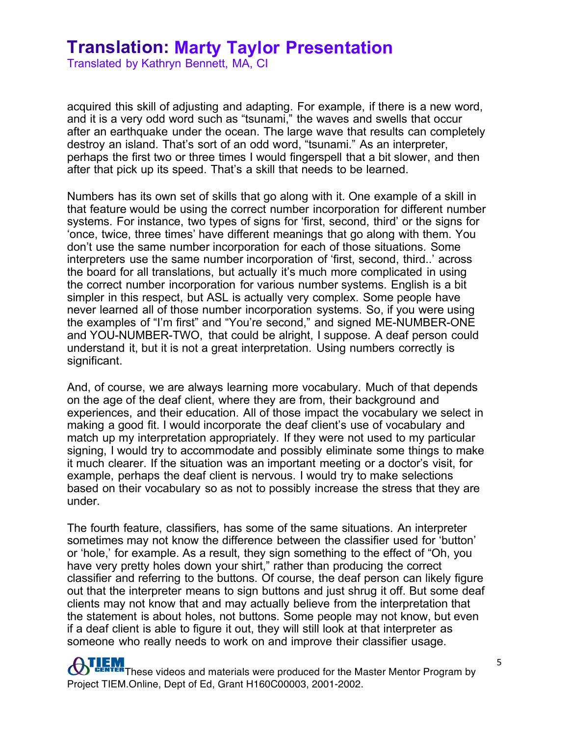Translated by Kathryn Bennett, MA, CI

acquired this skill of adjusting and adapting. For example, if there is a new word, and it is a very odd word such as "tsunami," the waves and swells that occur after an earthquake under the ocean. The large wave that results can completely destroy an island. That's sort of an odd word, "tsunami." As an interpreter, perhaps the first two or three times I would fingerspell that a bit slower, and then after that pick up its speed. That's a skill that needs to be learned.

Numbers has its own set of skills that go along with it. One example of a skill in that feature would be using the correct number incorporation for different number systems. For instance, two types of signs for 'first, second, third' or the signs for 'once, twice, three times' have different meanings that go along with them. You don't use the same number incorporation for each of those situations. Some interpreters use the same number incorporation of 'first, second, third..' across the board for all translations, but actually it's much more complicated in using the correct number incorporation for various number systems. English is a bit simpler in this respect, but ASL is actually very complex. Some people have never learned all of those number incorporation systems. So, if you were using the examples of "I'm first" and "You're second," and signed ME-NUMBER-ONE and YOU-NUMBER-TWO, that could be alright, I suppose. A deaf person could understand it, but it is not a great interpretation. Using numbers correctly is significant.

And, of course, we are always learning more vocabulary. Much of that depends on the age of the deaf client, where they are from, their background and experiences, and their education. All of those impact the vocabulary we select in making a good fit. I would incorporate the deaf client's use of vocabulary and match up my interpretation appropriately. If they were not used to my particular signing, I would try to accommodate and possibly eliminate some things to make it much clearer. If the situation was an important meeting or a doctor's visit, for example, perhaps the deaf client is nervous. I would try to make selections based on their vocabulary so as not to possibly increase the stress that they are under.

The fourth feature, classifiers, has some of the same situations. An interpreter sometimes may not know the difference between the classifier used for 'button' or 'hole,' for example. As a result, they sign something to the effect of "Oh, you have very pretty holes down your shirt," rather than producing the correct classifier and referring to the buttons. Of course, the deaf person can likely figure out that the interpreter means to sign buttons and just shrug it off. But some deaf clients may not know that and may actually believe from the interpretation that the statement is about holes, not buttons. Some people may not know, but even if a deaf client is able to figure it out, they will still look at that interpreter as someone who really needs to work on and improve their classifier usage.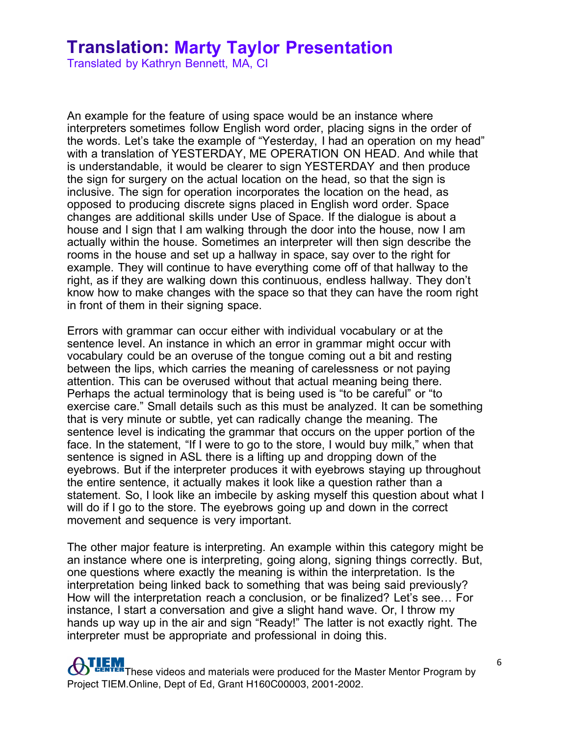Translated by Kathryn Bennett, MA, CI

An example for the feature of using space would be an instance where interpreters sometimes follow English word order, placing signs in the order of the words. Let's take the example of "Yesterday, I had an operation on my head" with a translation of YESTERDAY, ME OPERATION ON HEAD. And while that is understandable, it would be clearer to sign YESTERDAY and then produce the sign for surgery on the actual location on the head, so that the sign is inclusive. The sign for operation incorporates the location on the head, as opposed to producing discrete signs placed in English word order. Space changes are additional skills under Use of Space. If the dialogue is about a house and I sign that I am walking through the door into the house, now I am actually within the house. Sometimes an interpreter will then sign describe the rooms in the house and set up a hallway in space, say over to the right for example. They will continue to have everything come off of that hallway to the right, as if they are walking down this continuous, endless hallway. They don't know how to make changes with the space so that they can have the room right in front of them in their signing space.

Errors with grammar can occur either with individual vocabulary or at the sentence level. An instance in which an error in grammar might occur with vocabulary could be an overuse of the tongue coming out a bit and resting between the lips, which carries the meaning of carelessness or not paying attention. This can be overused without that actual meaning being there. Perhaps the actual terminology that is being used is "to be careful" or "to exercise care." Small details such as this must be analyzed. It can be something that is very minute or subtle, yet can radically change the meaning. The sentence level is indicating the grammar that occurs on the upper portion of the face. In the statement, "If I were to go to the store, I would buy milk," when that sentence is signed in ASL there is a lifting up and dropping down of the eyebrows. But if the interpreter produces it with eyebrows staying up throughout the entire sentence, it actually makes it look like a question rather than a statement. So, I look like an imbecile by asking myself this question about what I will do if I go to the store. The eyebrows going up and down in the correct movement and sequence is very important.

The other major feature is interpreting. An example within this category might be an instance where one is interpreting, going along, signing things correctly. But, one questions where exactly the meaning is within the interpretation. Is the interpretation being linked back to something that was being said previously? How will the interpretation reach a conclusion, or be finalized? Let's see… For instance, I start a conversation and give a slight hand wave. Or, I throw my hands up way up in the air and sign "Ready!" The latter is not exactly right. The interpreter must be appropriate and professional in doing this.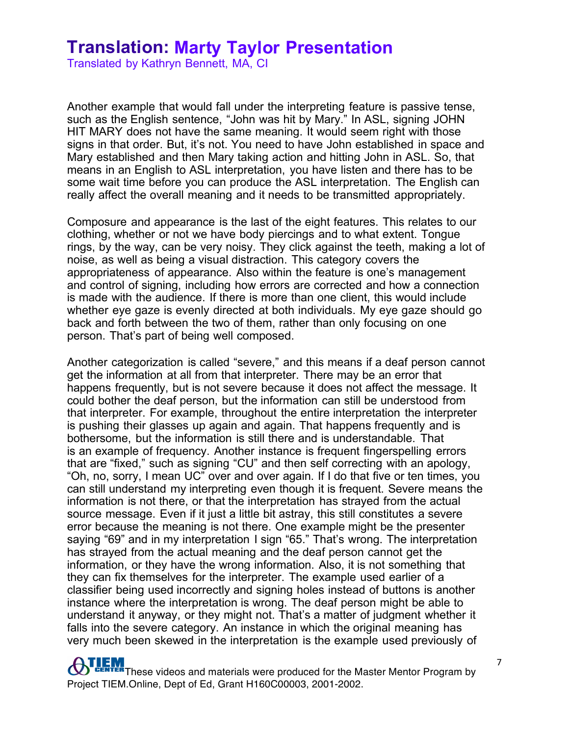Translated by Kathryn Bennett, MA, CI

Another example that would fall under the interpreting feature is passive tense, such as the English sentence, "John was hit by Mary." In ASL, signing JOHN HIT MARY does not have the same meaning. It would seem right with those signs in that order. But, it's not. You need to have John established in space and Mary established and then Mary taking action and hitting John in ASL. So, that means in an English to ASL interpretation, you have listen and there has to be some wait time before you can produce the ASL interpretation. The English can really affect the overall meaning and it needs to be transmitted appropriately.

Composure and appearance is the last of the eight features. This relates to our clothing, whether or not we have body piercings and to what extent. Tongue rings, by the way, can be very noisy. They click against the teeth, making a lot of noise, as well as being a visual distraction. This category covers the appropriateness of appearance. Also within the feature is one's management and control of signing, including how errors are corrected and how a connection is made with the audience. If there is more than one client, this would include whether eye gaze is evenly directed at both individuals. My eye gaze should go back and forth between the two of them, rather than only focusing on one person. That's part of being well composed.

Another categorization is called "severe," and this means if a deaf person cannot get the information at all from that interpreter. There may be an error that happens frequently, but is not severe because it does not affect the message. It could bother the deaf person, but the information can still be understood from that interpreter. For example, throughout the entire interpretation the interpreter is pushing their glasses up again and again. That happens frequently and is bothersome, but the information is still there and is understandable. That is an example of frequency. Another instance is frequent fingerspelling errors that are "fixed," such as signing "CU" and then self correcting with an apology, "Oh, no, sorry, I mean UC" over and over again. If I do that five or ten times, you can still understand my interpreting even though it is frequent. Severe means the information is not there, or that the interpretation has strayed from the actual source message. Even if it just a little bit astray, this still constitutes a severe error because the meaning is not there. One example might be the presenter saying "69" and in my interpretation I sign "65." That's wrong. The interpretation has strayed from the actual meaning and the deaf person cannot get the information, or they have the wrong information. Also, it is not something that they can fix themselves for the interpreter. The example used earlier of a classifier being used incorrectly and signing holes instead of buttons is another instance where the interpretation is wrong. The deaf person might be able to understand it anyway, or they might not. That's a matter of judgment whether it falls into the severe category. An instance in which the original meaning has very much been skewed in the interpretation is the example used previously of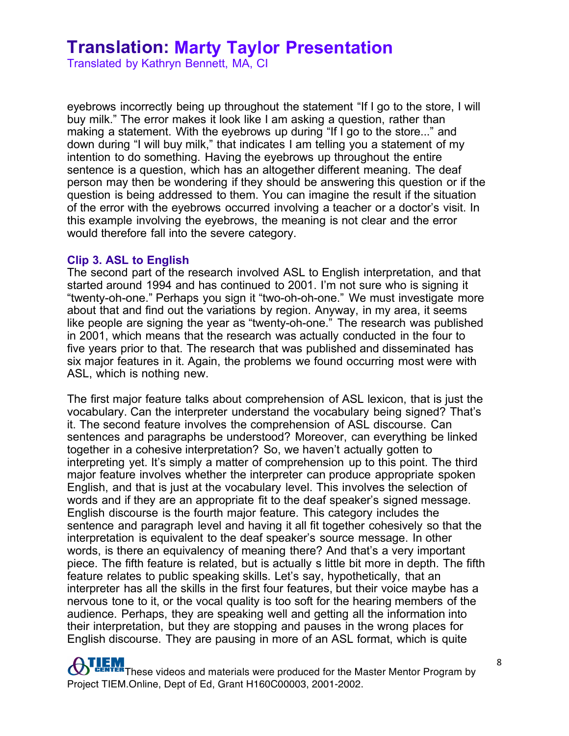Translated by Kathryn Bennett, MA, CI

eyebrows incorrectly being up throughout the statement "If I go to the store, I will buy milk." The error makes it look like I am asking a question, rather than making a statement. With the eyebrows up during "If I go to the store..." and down during "I will buy milk," that indicates I am telling you a statement of my intention to do something. Having the eyebrows up throughout the entire sentence is a question, which has an altogether different meaning. The deaf person may then be wondering if they should be answering this question or if the question is being addressed to them. You can imagine the result if the situation of the error with the eyebrows occurred involving a teacher or a doctor's visit. In this example involving the eyebrows, the meaning is not clear and the error would therefore fall into the severe category.

#### **Clip 3. ASL to English**

The second part of the research involved ASL to English interpretation, and that started around 1994 and has continued to 2001. I'm not sure who is signing it "twenty-oh-one." Perhaps you sign it "two-oh-oh-one." We must investigate more about that and find out the variations by region. Anyway, in my area, it seems like people are signing the year as "twenty-oh-one." The research was published in 2001, which means that the research was actually conducted in the four to five years prior to that. The research that was published and disseminated has six major features in it. Again, the problems we found occurring most were with ASL, which is nothing new.

The first major feature talks about comprehension of ASL lexicon, that is just the vocabulary. Can the interpreter understand the vocabulary being signed? That's it. The second feature involves the comprehension of ASL discourse. Can sentences and paragraphs be understood? Moreover, can everything be linked together in a cohesive interpretation? So, we haven't actually gotten to interpreting yet. It's simply a matter of comprehension up to this point. The third major feature involves whether the interpreter can produce appropriate spoken English, and that is just at the vocabulary level. This involves the selection of words and if they are an appropriate fit to the deaf speaker's signed message. English discourse is the fourth major feature. This category includes the sentence and paragraph level and having it all fit together cohesively so that the interpretation is equivalent to the deaf speaker's source message. In other words, is there an equivalency of meaning there? And that's a very important piece. The fifth feature is related, but is actually s little bit more in depth. The fifth feature relates to public speaking skills. Let's say, hypothetically, that an interpreter has all the skills in the first four features, but their voice maybe has a nervous tone to it, or the vocal quality is too soft for the hearing members of the audience. Perhaps, they are speaking well and getting all the information into their interpretation, but they are stopping and pauses in the wrong places for English discourse. They are pausing in more of an ASL format, which is quite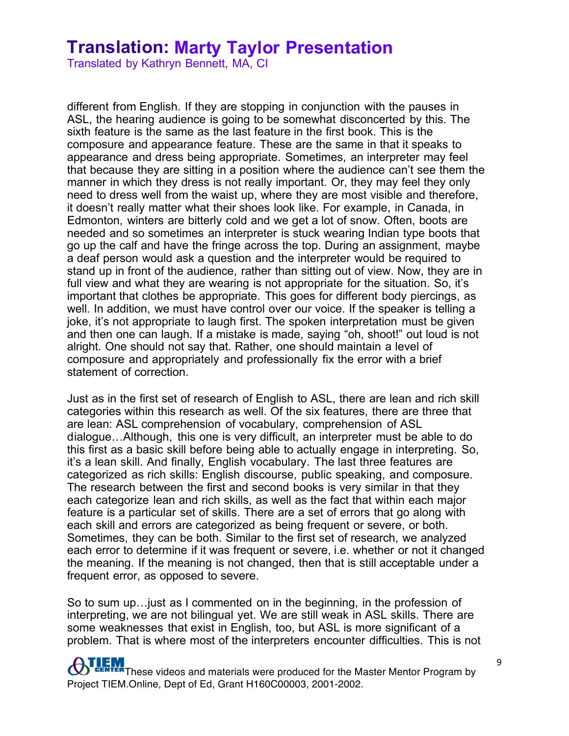Translated by Kathryn Bennett, MA, CI

different from English. If they are stopping in conjunction with the pauses in ASL, the hearing audience is going to be somewhat disconcerted by this. The sixth feature is the same as the last feature in the first book. This is the composure and appearance feature. These are the same in that it speaks to appearance and dress being appropriate. Sometimes, an interpreter may feel that because they are sitting in a position where the audience can't see them the manner in which they dress is not really important. Or, they may feel they only need to dress well from the waist up, where they are most visible and therefore, it doesn't really matter what their shoes look like. For example, in Canada, in Edmonton, winters are bitterly cold and we get a lot of snow. Often, boots are needed and so sometimes an interpreter is stuck wearing Indian type boots that go up the calf and have the fringe across the top. During an assignment, maybe a deaf person would ask a question and the interpreter would be required to stand up in front of the audience, rather than sitting out of view. Now, they are in full view and what they are wearing is not appropriate for the situation. So, it's important that clothes be appropriate. This goes for different body piercings, as well. In addition, we must have control over our voice. If the speaker is telling a joke, it's not appropriate to laugh first. The spoken interpretation must be given and then one can laugh. If a mistake is made, saying "oh, shoot!" out loud is not alright. One should not say that. Rather, one should maintain a level of composure and appropriately and professionally fix the error with a brief statement of correction.

Just as in the first set of research of English to ASL, there are lean and rich skill categories within this research as well. Of the six features, there are three that are lean: ASL comprehension of vocabulary, comprehension of ASL dialogue…Although, this one is very difficult, an interpreter must be able to do this first as a basic skill before being able to actually engage in interpreting. So, it's a lean skill. And finally, English vocabulary. The last three features are categorized as rich skills: English discourse, public speaking, and composure. The research between the first and second books is very similar in that they each categorize lean and rich skills, as well as the fact that within each major feature is a particular set of skills. There are a set of errors that go along with each skill and errors are categorized as being frequent or severe, or both. Sometimes, they can be both. Similar to the first set of research, we analyzed each error to determine if it was frequent or severe, i.e. whether or not it changed the meaning. If the meaning is not changed, then that is still acceptable under a frequent error, as opposed to severe.

So to sum up…just as I commented on in the beginning, in the profession of interpreting, we are not bilingual yet. We are still weak in ASL skills. There are some weaknesses that exist in English, too, but ASL is more significant of a problem. That is where most of the interpreters encounter difficulties. This is not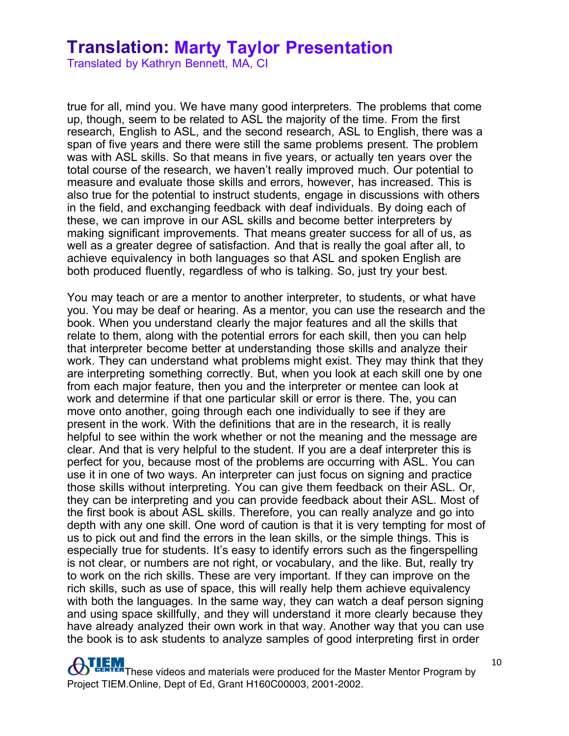Translated by Kathryn Bennett, MA, CI

true for all, mind you. We have many good interpreters. The problems that come up, though, seem to be related to ASL the majority of the time. From the first research, English to ASL, and the second research, ASL to English, there was a span of five years and there were still the same problems present. The problem was with ASL skills. So that means in five years, or actually ten years over the total course of the research, we haven't really improved much. Our potential to measure and evaluate those skills and errors, however, has increased. This is also true for the potential to instruct students, engage in discussions with others in the field, and exchanging feedback with deaf individuals. By doing each of these, we can improve in our ASL skills and become better interpreters by making significant improvements. That means greater success for all of us, as well as a greater degree of satisfaction. And that is really the goal after all, to achieve equivalency in both languages so that ASL and spoken English are both produced fluently, regardless of who is talking. So, just try your best.

You may teach or are a mentor to another interpreter, to students, or what have you. You may be deaf or hearing. As a mentor, you can use the research and the book. When you understand clearly the major features and all the skills that relate to them, along with the potential errors for each skill, then you can help that interpreter become better at understanding those skills and analyze their work. They can understand what problems might exist. They may think that they are interpreting something correctly. But, when you look at each skill one by one from each major feature, then you and the interpreter or mentee can look at work and determine if that one particular skill or error is there. The, you can move onto another, going through each one individually to see if they are present in the work. With the definitions that are in the research, it is really helpful to see within the work whether or not the meaning and the message are clear. And that is very helpful to the student. If you are a deaf interpreter this is perfect for you, because most of the problems are occurring with ASL. You can use it in one of two ways. An interpreter can just focus on signing and practice those skills without interpreting. You can give them feedback on their ASL. Or, they can be interpreting and you can provide feedback about their ASL. Most of the first book is about ASL skills. Therefore, you can really analyze and go into depth with any one skill. One word of caution is that it is very tempting for most of us to pick out and find the errors in the lean skills, or the simple things. This is especially true for students. It's easy to identify errors such as the fingerspelling is not clear, or numbers are not right, or vocabulary, and the like. But, really try to work on the rich skills. These are very important. If they can improve on the rich skills, such as use of space, this will really help them achieve equivalency with both the languages. In the same way, they can watch a deaf person signing and using space skillfully, and they will understand it more clearly because they have already analyzed their own work in that way. Another way that you can use the book is to ask students to analyze samples of good interpreting first in order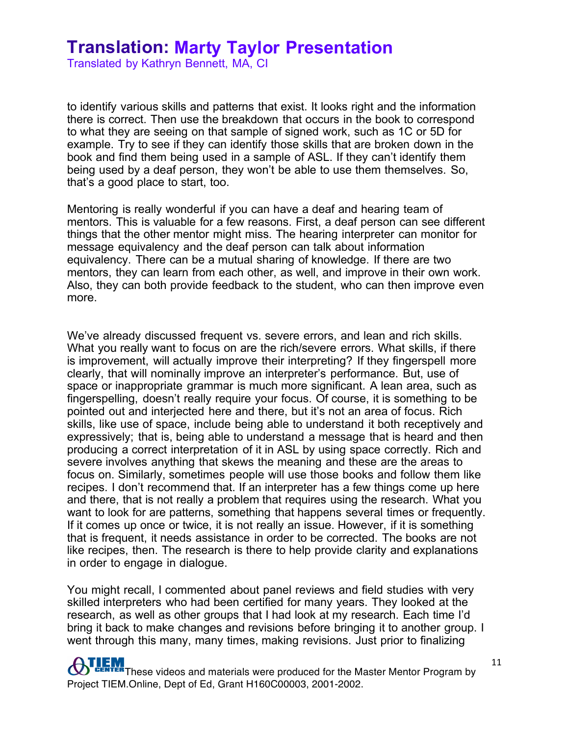Translated by Kathryn Bennett, MA, CI

to identify various skills and patterns that exist. It looks right and the information there is correct. Then use the breakdown that occurs in the book to correspond to what they are seeing on that sample of signed work, such as 1C or 5D for example. Try to see if they can identify those skills that are broken down in the book and find them being used in a sample of ASL. If they can't identify them being used by a deaf person, they won't be able to use them themselves. So, that's a good place to start, too.

Mentoring is really wonderful if you can have a deaf and hearing team of mentors. This is valuable for a few reasons. First, a deaf person can see different things that the other mentor might miss. The hearing interpreter can monitor for message equivalency and the deaf person can talk about information equivalency. There can be a mutual sharing of knowledge. If there are two mentors, they can learn from each other, as well, and improve in their own work. Also, they can both provide feedback to the student, who can then improve even more.

We've already discussed frequent vs. severe errors, and lean and rich skills. What you really want to focus on are the rich/severe errors. What skills, if there is improvement, will actually improve their interpreting? If they fingerspell more clearly, that will nominally improve an interpreter's performance. But, use of space or inappropriate grammar is much more significant. A lean area, such as fingerspelling, doesn't really require your focus. Of course, it is something to be pointed out and interjected here and there, but it's not an area of focus. Rich skills, like use of space, include being able to understand it both receptively and expressively; that is, being able to understand a message that is heard and then producing a correct interpretation of it in ASL by using space correctly. Rich and severe involves anything that skews the meaning and these are the areas to focus on. Similarly, sometimes people will use those books and follow them like recipes. I don't recommend that. If an interpreter has a few things come up here and there, that is not really a problem that requires using the research. What you want to look for are patterns, something that happens several times or frequently. If it comes up once or twice, it is not really an issue. However, if it is something that is frequent, it needs assistance in order to be corrected. The books are not like recipes, then. The research is there to help provide clarity and explanations in order to engage in dialogue.

You might recall, I commented about panel reviews and field studies with very skilled interpreters who had been certified for many years. They looked at the research, as well as other groups that I had look at my research. Each time I'd bring it back to make changes and revisions before bringing it to another group. I went through this many, many times, making revisions. Just prior to finalizing